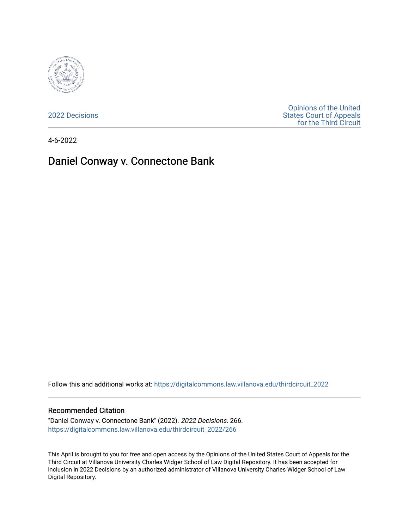

[2022 Decisions](https://digitalcommons.law.villanova.edu/thirdcircuit_2022)

[Opinions of the United](https://digitalcommons.law.villanova.edu/thirdcircuit)  [States Court of Appeals](https://digitalcommons.law.villanova.edu/thirdcircuit)  [for the Third Circuit](https://digitalcommons.law.villanova.edu/thirdcircuit) 

4-6-2022

## Daniel Conway v. Connectone Bank

Follow this and additional works at: [https://digitalcommons.law.villanova.edu/thirdcircuit\\_2022](https://digitalcommons.law.villanova.edu/thirdcircuit_2022?utm_source=digitalcommons.law.villanova.edu%2Fthirdcircuit_2022%2F266&utm_medium=PDF&utm_campaign=PDFCoverPages) 

#### Recommended Citation

"Daniel Conway v. Connectone Bank" (2022). 2022 Decisions. 266. [https://digitalcommons.law.villanova.edu/thirdcircuit\\_2022/266](https://digitalcommons.law.villanova.edu/thirdcircuit_2022/266?utm_source=digitalcommons.law.villanova.edu%2Fthirdcircuit_2022%2F266&utm_medium=PDF&utm_campaign=PDFCoverPages)

This April is brought to you for free and open access by the Opinions of the United States Court of Appeals for the Third Circuit at Villanova University Charles Widger School of Law Digital Repository. It has been accepted for inclusion in 2022 Decisions by an authorized administrator of Villanova University Charles Widger School of Law Digital Repository.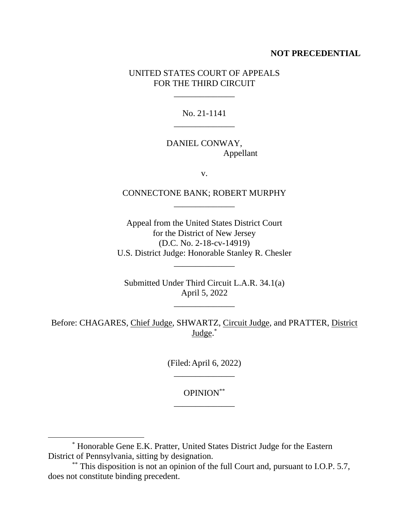## **NOT PRECEDENTIAL**

## UNITED STATES COURT OF APPEALS FOR THE THIRD CIRCUIT

\_\_\_\_\_\_\_\_\_\_\_\_\_\_

No. 21-1141 \_\_\_\_\_\_\_\_\_\_\_\_\_\_

## DANIEL CONWAY, Appellant

v.

## CONNECTONE BANK; ROBERT MURPHY \_\_\_\_\_\_\_\_\_\_\_\_\_\_

Appeal from the United States District Court for the District of New Jersey (D.C. No. 2-18-cv-14919) U.S. District Judge: Honorable Stanley R. Chesler

\_\_\_\_\_\_\_\_\_\_\_\_\_\_

Submitted Under Third Circuit L.A.R. 34.1(a) April 5, 2022

\_\_\_\_\_\_\_\_\_\_\_\_\_\_

Before: CHAGARES, Chief Judge, SHWARTZ, Circuit Judge, and PRATTER, District Judge.<sup>\*</sup>

> (Filed:April 6, 2022) \_\_\_\_\_\_\_\_\_\_\_\_\_\_

OPINION\*\* \_\_\_\_\_\_\_\_\_\_\_\_\_\_

<sup>\*</sup> Honorable Gene E.K. Pratter, United States District Judge for the Eastern District of Pennsylvania, sitting by designation.

<sup>\*\*</sup> This disposition is not an opinion of the full Court and, pursuant to I.O.P. 5.7, does not constitute binding precedent.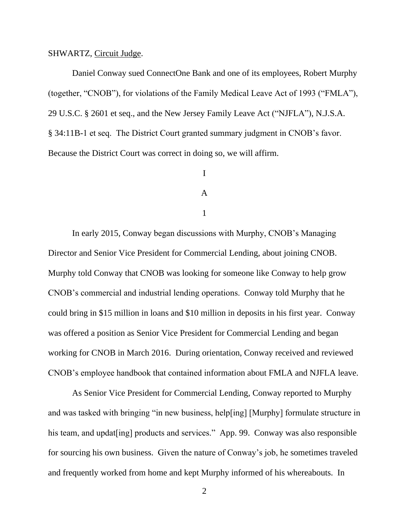#### SHWARTZ, Circuit Judge.

Daniel Conway sued ConnectOne Bank and one of its employees, Robert Murphy (together, "CNOB"), for violations of the Family Medical Leave Act of 1993 ("FMLA"), 29 U.S.C. § 2601 et seq., and the New Jersey Family Leave Act ("NJFLA"), N.J.S.A. § 34:11B-1 et seq. The District Court granted summary judgment in CNOB's favor. Because the District Court was correct in doing so, we will affirm.

# I A

#### 1

In early 2015, Conway began discussions with Murphy, CNOB's Managing Director and Senior Vice President for Commercial Lending, about joining CNOB. Murphy told Conway that CNOB was looking for someone like Conway to help grow CNOB's commercial and industrial lending operations. Conway told Murphy that he could bring in \$15 million in loans and \$10 million in deposits in his first year. Conway was offered a position as Senior Vice President for Commercial Lending and began working for CNOB in March 2016. During orientation, Conway received and reviewed CNOB's employee handbook that contained information about FMLA and NJFLA leave.

As Senior Vice President for Commercial Lending, Conway reported to Murphy and was tasked with bringing "in new business, help[ing] [Murphy] formulate structure in his team, and updat [ing] products and services." App. 99. Conway was also responsible for sourcing his own business. Given the nature of Conway's job, he sometimes traveled and frequently worked from home and kept Murphy informed of his whereabouts. In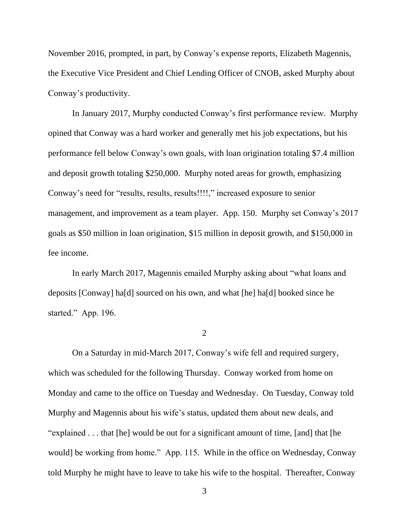November 2016, prompted, in part, by Conway's expense reports, Elizabeth Magennis, the Executive Vice President and Chief Lending Officer of CNOB, asked Murphy about Conway's productivity.

In January 2017, Murphy conducted Conway's first performance review. Murphy opined that Conway was a hard worker and generally met his job expectations, but his performance fell below Conway's own goals, with loan origination totaling \$7.4 million and deposit growth totaling \$250,000. Murphy noted areas for growth, emphasizing Conway's need for "results, results, results!!!!," increased exposure to senior management, and improvement as a team player. App. 150. Murphy set Conway's 2017 goals as \$50 million in loan origination, \$15 million in deposit growth, and \$150,000 in fee income.

In early March 2017, Magennis emailed Murphy asking about "what loans and deposits [Conway] ha[d] sourced on his own, and what [he] ha[d] booked since he started." App. 196.

 $\mathcal{L}$ 

On a Saturday in mid-March 2017, Conway's wife fell and required surgery, which was scheduled for the following Thursday. Conway worked from home on Monday and came to the office on Tuesday and Wednesday. On Tuesday, Conway told Murphy and Magennis about his wife's status, updated them about new deals, and "explained . . . that [he] would be out for a significant amount of time, [and] that [he would] be working from home." App. 115. While in the office on Wednesday, Conway told Murphy he might have to leave to take his wife to the hospital. Thereafter, Conway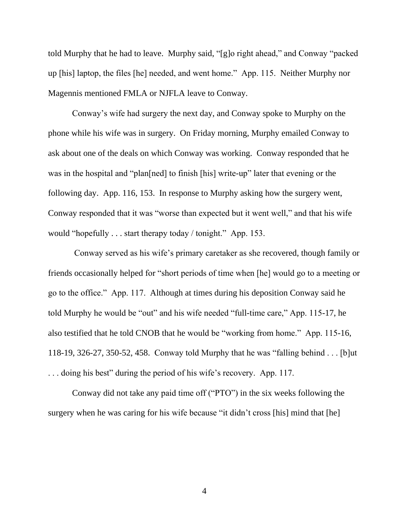told Murphy that he had to leave. Murphy said, "[g]o right ahead," and Conway "packed up [his] laptop, the files [he] needed, and went home." App. 115. Neither Murphy nor Magennis mentioned FMLA or NJFLA leave to Conway.

Conway's wife had surgery the next day, and Conway spoke to Murphy on the phone while his wife was in surgery. On Friday morning, Murphy emailed Conway to ask about one of the deals on which Conway was working. Conway responded that he was in the hospital and "plan[ned] to finish [his] write-up" later that evening or the following day. App. 116, 153. In response to Murphy asking how the surgery went, Conway responded that it was "worse than expected but it went well," and that his wife would "hopefully . . . start therapy today / tonight." App. 153.

Conway served as his wife's primary caretaker as she recovered, though family or friends occasionally helped for "short periods of time when [he] would go to a meeting or go to the office." App. 117. Although at times during his deposition Conway said he told Murphy he would be "out" and his wife needed "full-time care," App. 115-17, he also testified that he told CNOB that he would be "working from home." App. 115-16, 118-19, 326-27, 350-52, 458. Conway told Murphy that he was "falling behind . . . [b]ut . . . doing his best" during the period of his wife's recovery. App. 117.

Conway did not take any paid time off ("PTO") in the six weeks following the surgery when he was caring for his wife because "it didn't cross [his] mind that [he]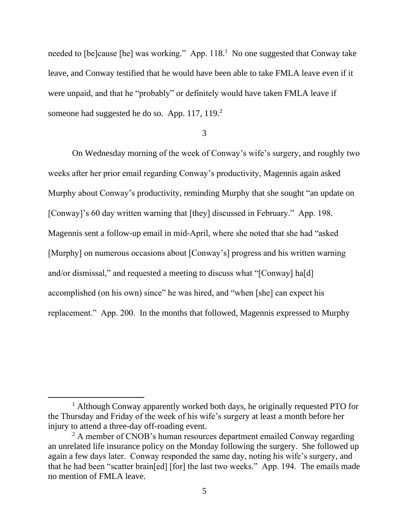needed to [be]cause [he] was working." App. 118.<sup>1</sup> No one suggested that Conway take leave, and Conway testified that he would have been able to take FMLA leave even if it were unpaid, and that he "probably" or definitely would have taken FMLA leave if someone had suggested he do so. App. 117, 119.<sup>2</sup>

3

On Wednesday morning of the week of Conway's wife's surgery, and roughly two weeks after her prior email regarding Conway's productivity, Magennis again asked Murphy about Conway's productivity, reminding Murphy that she sought "an update on [Conway]'s 60 day written warning that [they] discussed in February." App. 198. Magennis sent a follow-up email in mid-April, where she noted that she had "asked [Murphy] on numerous occasions about [Conway's] progress and his written warning and/or dismissal," and requested a meeting to discuss what "[Conway] ha[d] accomplished (on his own) since" he was hired, and "when [she] can expect his replacement." App. 200. In the months that followed, Magennis expressed to Murphy

<sup>&</sup>lt;sup>1</sup> Although Conway apparently worked both days, he originally requested PTO for the Thursday and Friday of the week of his wife's surgery at least a month before her injury to attend a three-day off-roading event.

 $2$  A member of CNOB's human resources department emailed Conway regarding an unrelated life insurance policy on the Monday following the surgery. She followed up again a few days later. Conway responded the same day, noting his wife's surgery, and that he had been "scatter brain[ed] [for] the last two weeks." App. 194. The emails made no mention of FMLA leave.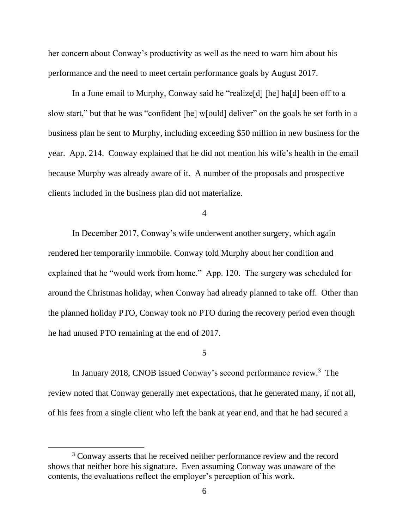her concern about Conway's productivity as well as the need to warn him about his performance and the need to meet certain performance goals by August 2017.

In a June email to Murphy, Conway said he "realize[d] [he] ha[d] been off to a slow start," but that he was "confident [he] w[ould] deliver" on the goals he set forth in a business plan he sent to Murphy, including exceeding \$50 million in new business for the year. App. 214. Conway explained that he did not mention his wife's health in the email because Murphy was already aware of it. A number of the proposals and prospective clients included in the business plan did not materialize.

4

In December 2017, Conway's wife underwent another surgery, which again rendered her temporarily immobile. Conway told Murphy about her condition and explained that he "would work from home." App. 120. The surgery was scheduled for around the Christmas holiday, when Conway had already planned to take off. Other than the planned holiday PTO, Conway took no PTO during the recovery period even though he had unused PTO remaining at the end of 2017.

#### 5

In January 2018, CNOB issued Conway's second performance review.<sup>3</sup> The review noted that Conway generally met expectations, that he generated many, if not all, of his fees from a single client who left the bank at year end, and that he had secured a

<sup>&</sup>lt;sup>3</sup> Conway asserts that he received neither performance review and the record shows that neither bore his signature. Even assuming Conway was unaware of the contents, the evaluations reflect the employer's perception of his work.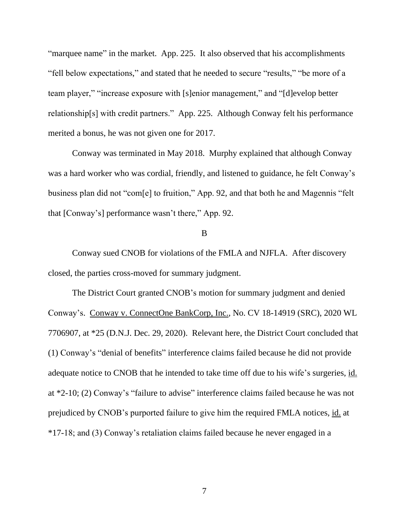"marquee name" in the market. App. 225. It also observed that his accomplishments "fell below expectations," and stated that he needed to secure "results," "be more of a team player," "increase exposure with [s]enior management," and "[d]evelop better relationship[s] with credit partners." App. 225. Although Conway felt his performance merited a bonus, he was not given one for 2017.

Conway was terminated in May 2018. Murphy explained that although Conway was a hard worker who was cordial, friendly, and listened to guidance, he felt Conway's business plan did not "com[e] to fruition," App. 92, and that both he and Magennis "felt that [Conway's] performance wasn't there," App. 92.

#### B

Conway sued CNOB for violations of the FMLA and NJFLA. After discovery closed, the parties cross-moved for summary judgment.

The District Court granted CNOB's motion for summary judgment and denied Conway's. Conway v. ConnectOne BankCorp, Inc., No. CV 18-14919 (SRC), 2020 WL 7706907, at \*25 (D.N.J. Dec. 29, 2020). Relevant here, the District Court concluded that (1) Conway's "denial of benefits" interference claims failed because he did not provide adequate notice to CNOB that he intended to take time off due to his wife's surgeries, id. at \*2-10; (2) Conway's "failure to advise" interference claims failed because he was not prejudiced by CNOB's purported failure to give him the required FMLA notices, id. at \*17-18; and (3) Conway's retaliation claims failed because he never engaged in a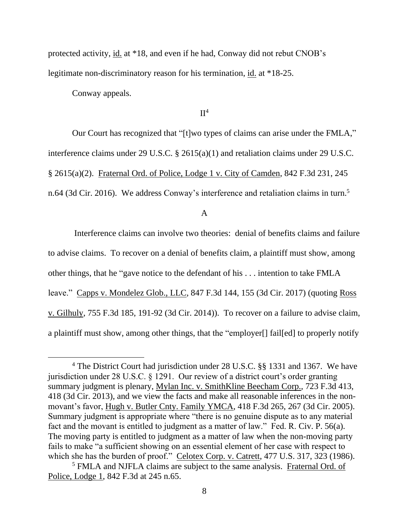protected activity, id. at \*18, and even if he had, Conway did not rebut CNOB's legitimate non-discriminatory reason for his termination, id. at \*18-25.

Conway appeals.

 $\Pi^4$ 

Our Court has recognized that "[t]wo types of claims can arise under the FMLA," interference claims under 29 U.S.C. § 2615(a)(1) and retaliation claims under 29 U.S.C. § 2615(a)(2). Fraternal Ord. of Police, Lodge 1 v. City of Camden, 842 F.3d 231, 245 n.64 (3d Cir. 2016). We address Conway's interference and retaliation claims in turn.<sup>5</sup>

A

Interference claims can involve two theories: denial of benefits claims and failure to advise claims. To recover on a denial of benefits claim, a plaintiff must show, among other things, that he "gave notice to the defendant of his . . . intention to take FMLA leave." Capps v. Mondelez Glob., LLC, 847 F.3d 144, 155 (3d Cir. 2017) (quoting Ross v. Gilhuly, 755 F.3d 185, 191-92 (3d Cir. 2014)). To recover on a failure to advise claim, a plaintiff must show, among other things, that the "employer[] fail[ed] to properly notify

<sup>4</sup> The District Court had jurisdiction under 28 U.S.C. §§ 1331 and 1367. We have jurisdiction under 28 U.S.C. § 1291. Our review of a district court's order granting summary judgment is plenary, Mylan Inc. v. SmithKline Beecham Corp., 723 F.3d 413, 418 (3d Cir. 2013), and we view the facts and make all reasonable inferences in the nonmovant's favor, Hugh v. Butler Cnty. Family YMCA, 418 F.3d 265, 267 (3d Cir. 2005). Summary judgment is appropriate where "there is no genuine dispute as to any material fact and the movant is entitled to judgment as a matter of law." Fed. R. Civ. P. 56(a). The moving party is entitled to judgment as a matter of law when the non-moving party fails to make "a sufficient showing on an essential element of her case with respect to which she has the burden of proof." Celotex Corp. v. Catrett, 477 U.S. 317, 323 (1986).

<sup>5</sup> FMLA and NJFLA claims are subject to the same analysis. Fraternal Ord. of Police, Lodge 1, 842 F.3d at 245 n.65.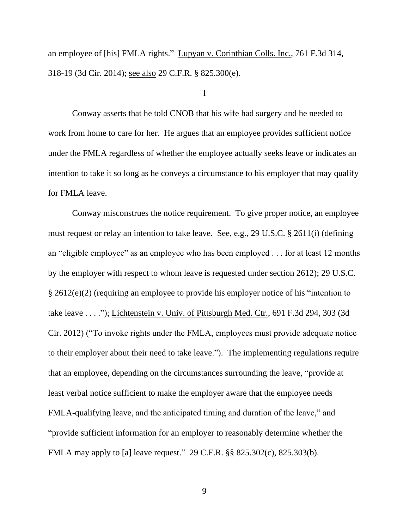an employee of [his] FMLA rights." Lupyan v. Corinthian Colls. Inc., 761 F.3d 314, 318-19 (3d Cir. 2014); see also 29 C.F.R. § 825.300(e).

1

Conway asserts that he told CNOB that his wife had surgery and he needed to work from home to care for her. He argues that an employee provides sufficient notice under the FMLA regardless of whether the employee actually seeks leave or indicates an intention to take it so long as he conveys a circumstance to his employer that may qualify for FMLA leave.

Conway misconstrues the notice requirement. To give proper notice, an employee must request or relay an intention to take leave. See, e.g., 29 U.S.C. § 2611(i) (defining an "eligible employee" as an employee who has been employed . . . for at least 12 months by the employer with respect to whom leave is requested under section 2612); 29 U.S.C. § 2612(e)(2) (requiring an employee to provide his employer notice of his "intention to take leave . . . ."); Lichtenstein v. Univ. of Pittsburgh Med. Ctr., 691 F.3d 294, 303 (3d Cir. 2012) ("To invoke rights under the FMLA, employees must provide adequate notice to their employer about their need to take leave.").The implementing regulations require that an employee, depending on the circumstances surrounding the leave, "provide at least verbal notice sufficient to make the employer aware that the employee needs FMLA-qualifying leave, and the anticipated timing and duration of the leave," and "provide sufficient information for an employer to reasonably determine whether the FMLA may apply to [a] leave request." 29 C.F.R. §§ 825.302(c), 825.303(b).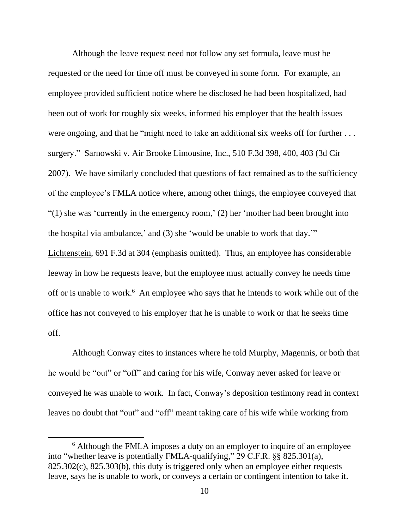Although the leave request need not follow any set formula, leave must be requested or the need for time off must be conveyed in some form. For example, an employee provided sufficient notice where he disclosed he had been hospitalized, had been out of work for roughly six weeks, informed his employer that the health issues were ongoing, and that he "might need to take an additional six weeks off for further ... surgery." Sarnowski v. Air Brooke Limousine, Inc., 510 F.3d 398, 400, 403 (3d Cir 2007). We have similarly concluded that questions of fact remained as to the sufficiency of the employee's FMLA notice where, among other things, the employee conveyed that "(1) she was 'currently in the emergency room,' (2) her 'mother had been brought into the hospital via ambulance,' and (3) she 'would be unable to work that day.'" Lichtenstein, 691 F.3d at 304 (emphasis omitted). Thus, an employee has considerable leeway in how he requests leave, but the employee must actually convey he needs time off or is unable to work.<sup>6</sup> An employee who says that he intends to work while out of the office has not conveyed to his employer that he is unable to work or that he seeks time off.

Although Conway cites to instances where he told Murphy, Magennis, or both that he would be "out" or "off" and caring for his wife, Conway never asked for leave or conveyed he was unable to work. In fact, Conway's deposition testimony read in context leaves no doubt that "out" and "off" meant taking care of his wife while working from

<sup>&</sup>lt;sup>6</sup> Although the FMLA imposes a duty on an employer to inquire of an employee into "whether leave is potentially FMLA-qualifying," 29 C.F.R. §§ 825.301(a), 825.302(c), 825.303(b), this duty is triggered only when an employee either requests leave, says he is unable to work, or conveys a certain or contingent intention to take it.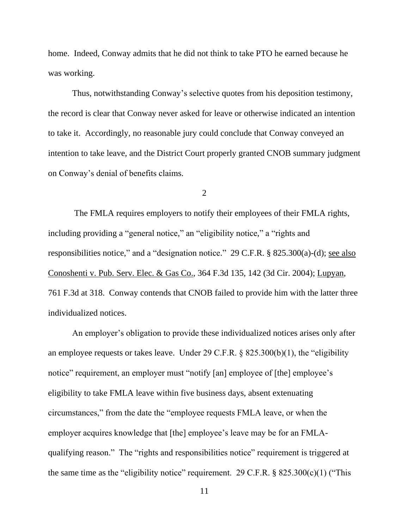home. Indeed, Conway admits that he did not think to take PTO he earned because he was working.

Thus, notwithstanding Conway's selective quotes from his deposition testimony, the record is clear that Conway never asked for leave or otherwise indicated an intention to take it. Accordingly, no reasonable jury could conclude that Conway conveyed an intention to take leave, and the District Court properly granted CNOB summary judgment on Conway's denial of benefits claims.

2

The FMLA requires employers to notify their employees of their FMLA rights, including providing a "general notice," an "eligibility notice," a "rights and responsibilities notice," and a "designation notice." 29 C.F.R. § 825.300(a)-(d); see also Conoshenti v. Pub. Serv. Elec. & Gas Co., 364 F.3d 135, 142 (3d Cir. 2004); Lupyan, 761 F.3d at 318. Conway contends that CNOB failed to provide him with the latter three individualized notices.

An employer's obligation to provide these individualized notices arises only after an employee requests or takes leave. Under 29 C.F.R. § 825.300(b)(1), the "eligibility notice" requirement, an employer must "notify [an] employee of [the] employee's eligibility to take FMLA leave within five business days, absent extenuating circumstances," from the date the "employee requests FMLA leave, or when the employer acquires knowledge that [the] employee's leave may be for an FMLAqualifying reason." The "rights and responsibilities notice" requirement is triggered at the same time as the "eligibility notice" requirement. 29 C.F.R.  $\S$  825.300(c)(1) ("This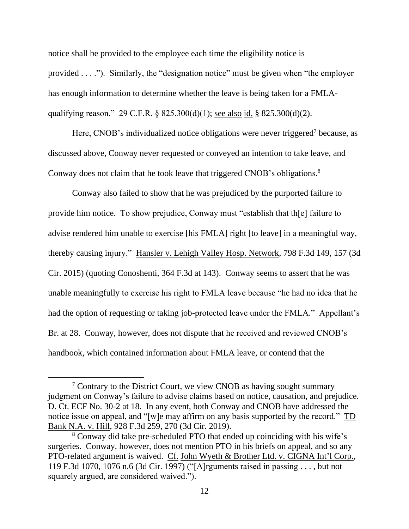notice shall be provided to the employee each time the eligibility notice is provided . . . ."). Similarly, the "designation notice" must be given when "the employer has enough information to determine whether the leave is being taken for a FMLAqualifying reason." 29 C.F.R.  $\S 825.300(d)(1)$ ; <u>see also id.</u>  $\S 825.300(d)(2)$ .

Here, CNOB's individualized notice obligations were never triggered<sup>7</sup> because, as discussed above, Conway never requested or conveyed an intention to take leave, and Conway does not claim that he took leave that triggered CNOB's obligations.<sup>8</sup>

Conway also failed to show that he was prejudiced by the purported failure to provide him notice. To show prejudice, Conway must "establish that th[e] failure to advise rendered him unable to exercise [his FMLA] right [to leave] in a meaningful way, thereby causing injury." Hansler v. Lehigh Valley Hosp. Network, 798 F.3d 149, 157 (3d Cir. 2015) (quoting Conoshenti, 364 F.3d at 143). Conway seems to assert that he was unable meaningfully to exercise his right to FMLA leave because "he had no idea that he had the option of requesting or taking job-protected leave under the FMLA." Appellant's Br. at 28. Conway, however, does not dispute that he received and reviewed CNOB's handbook, which contained information about FMLA leave, or contend that the

 $\frac{7}{7}$  Contrary to the District Court, we view CNOB as having sought summary judgment on Conway's failure to advise claims based on notice, causation, and prejudice. D. Ct. ECF No. 30-2 at 18. In any event, both Conway and CNOB have addressed the notice issue on appeal, and "[w]e may affirm on any basis supported by the record." TD Bank N.A. v. Hill, 928 F.3d 259, 270 (3d Cir. 2019).

<sup>8</sup> Conway did take pre-scheduled PTO that ended up coinciding with his wife's surgeries. Conway, however, does not mention PTO in his briefs on appeal, and so any PTO-related argument is waived. Cf. John Wyeth & Brother Ltd. v. CIGNA Int'l Corp., 119 F.3d 1070, 1076 n.6 (3d Cir. 1997) ("[A]rguments raised in passing . . . , but not squarely argued, are considered waived.").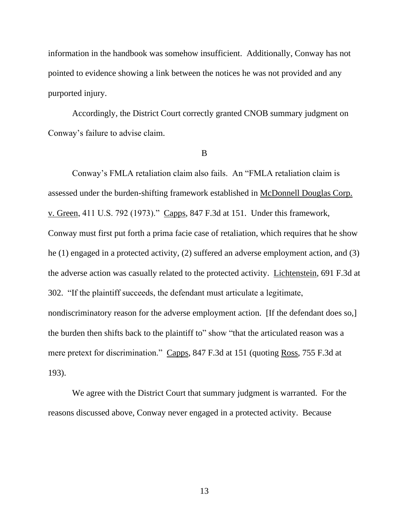information in the handbook was somehow insufficient. Additionally, Conway has not pointed to evidence showing a link between the notices he was not provided and any purported injury.

Accordingly, the District Court correctly granted CNOB summary judgment on Conway's failure to advise claim.

B

Conway's FMLA retaliation claim also fails. An "FMLA retaliation claim is assessed under the burden-shifting framework established in McDonnell Douglas Corp. v. Green, 411 U.S. 792 (1973)." Capps, 847 F.3d at 151. Under this framework, Conway must first put forth a prima facie case of retaliation, which requires that he show he (1) engaged in a protected activity, (2) suffered an adverse employment action, and (3) the adverse action was casually related to the protected activity. Lichtenstein, 691 F.3d at 302. "If the plaintiff succeeds, the defendant must articulate a legitimate, nondiscriminatory reason for the adverse employment action. [If the defendant does so,] the burden then shifts back to the plaintiff to" show "that the articulated reason was a mere pretext for discrimination." Capps, 847 F.3d at 151 (quoting Ross, 755 F.3d at 193).

We agree with the District Court that summary judgment is warranted. For the reasons discussed above, Conway never engaged in a protected activity. Because